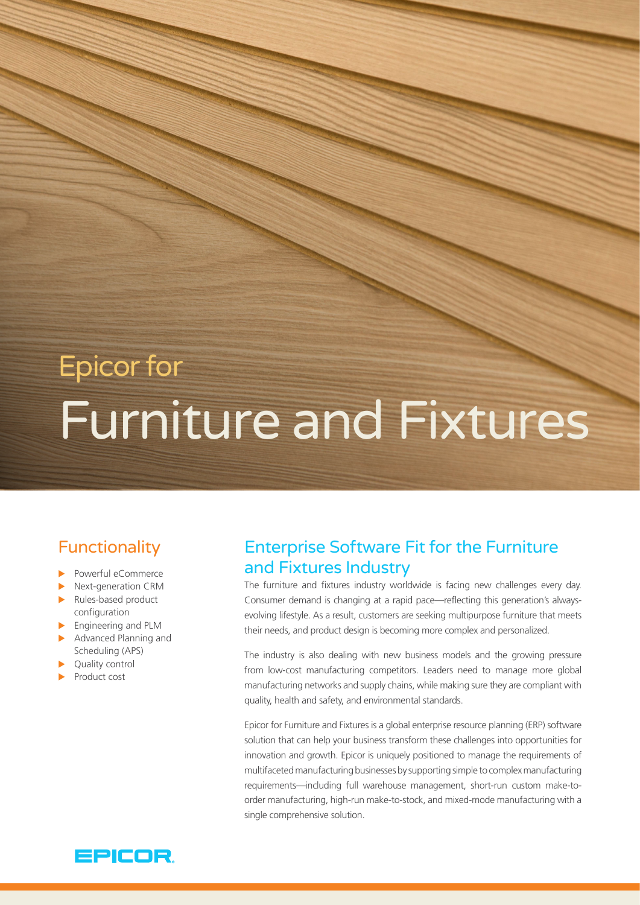# Epicor for Furniture and Fixtures

# Functionality

- $\blacktriangleright$  Powerful eCommerce
- $\blacktriangleright$  Next-generation CRM
- Rules-based product configuration
- $\blacktriangleright$  Engineering and PLM
- $\blacktriangleright$  Advanced Planning and Scheduling (APS)
- Quality control
- Product cost

## Enterprise Software Fit for the Furniture and Fixtures Industry

The furniture and fixtures industry worldwide is facing new challenges every day. Consumer demand is changing at a rapid pace—reflecting this generation's alwaysevolving lifestyle. As a result, customers are seeking multipurpose furniture that meets their needs, and product design is becoming more complex and personalized.

The industry is also dealing with new business models and the growing pressure from low-cost manufacturing competitors. Leaders need to manage more global manufacturing networks and supply chains, while making sure they are compliant with quality, health and safety, and environmental standards.

Epicor for Furniture and Fixtures is a global enterprise resource planning (ERP) software solution that can help your business transform these challenges into opportunities for innovation and growth. Epicor is uniquely positioned to manage the requirements of multifaceted manufacturing businesses by supporting simple to complex manufacturing requirements—including full warehouse management, short-run custom make-toorder manufacturing, high-run make-to-stock, and mixed-mode manufacturing with a single comprehensive solution.

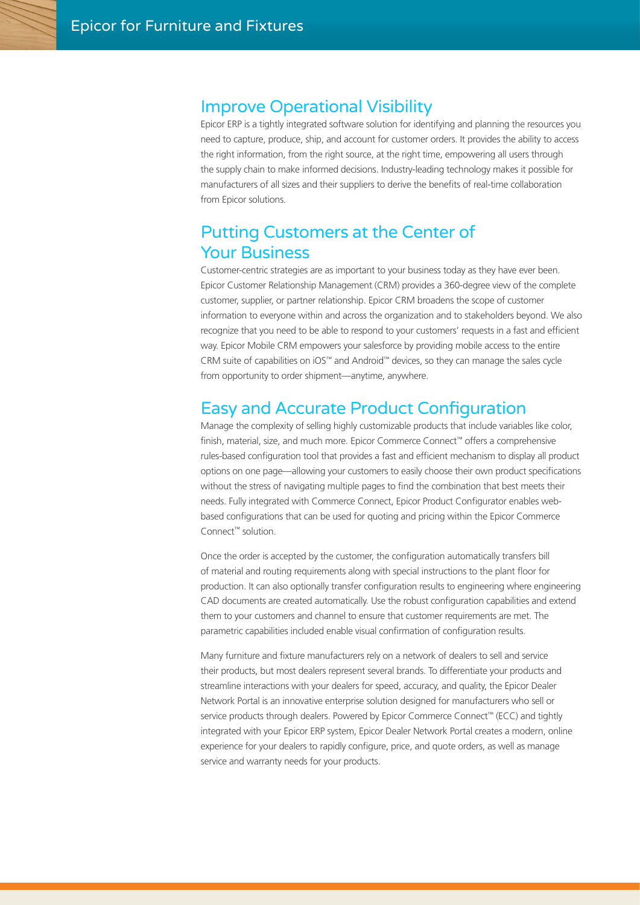#### Improve Operational Visibility

Epicor ERP is a tightly integrated software solution for identifying and planning the resources you need to capture, produce, ship, and account for customer orders. It provides the ability to access the right information, from the right source, at the right time, empowering all users through the supply chain to make informed decisions. Industry-leading technology makes it possible for manufacturers of all sizes and their suppliers to derive the benefits of real-time collaboration from Epicor solutions.

### Putting Customers at the Center of Your Business

Customer-centric strategies are as important to your business today as they have ever been. Epicor Customer Relationship Management (CRM) provides a 360-degree view of the complete customer, supplier, or partner relationship. Epicor CRM broadens the scope of customer information to everyone within and across the organization and to stakeholders beyond. We also recognize that you need to be able to respond to your customers' requests in a fast and efficient way. Epicor Mobile CRM empowers your salesforce by providing mobile access to the entire CRM suite of capabilities on iOS™ and Android™ devices, so they can manage the sales cycle from opportunity to order shipment—anytime, anywhere.

#### Easy and Accurate Product Configuration

Manage the complexity of selling highly customizable products that include variables like color, finish, material, size, and much more. Epicor Commerce Connect™ offers a comprehensive rules-based configuration tool that provides a fast and efficient mechanism to display all product options on one page—allowing your customers to easily choose their own product specifications without the stress of navigating multiple pages to find the combination that best meets their needs. Fully integrated with Commerce Connect, Epicor Product Configurator enables webbased configurations that can be used for quoting and pricing within the Epicor Commerce Connect™ solution.

Once the order is accepted by the customer, the configuration automatically transfers bill of material and routing requirements along with special instructions to the plant floor for production. It can also optionally transfer configuration results to engineering where engineering CAD documents are created automatically. Use the robust configuration capabilities and extend them to your customers and channel to ensure that customer requirements are met. The parametric capabilities included enable visual confirmation of configuration results.

Many furniture and fixture manufacturers rely on a network of dealers to sell and service their products, but most dealers represent several brands. To differentiate your products and streamline interactions with your dealers for speed, accuracy, and quality, the Epicor Dealer Network Portal is an innovative enterprise solution designed for manufacturers who sell or service products through dealers. Powered by Epicor Commerce Connect™ (ECC) and tightly integrated with your Epicor ERP system, Epicor Dealer Network Portal creates a modern, online experience for your dealers to rapidly configure, price, and quote orders, as well as manage service and warranty needs for your products.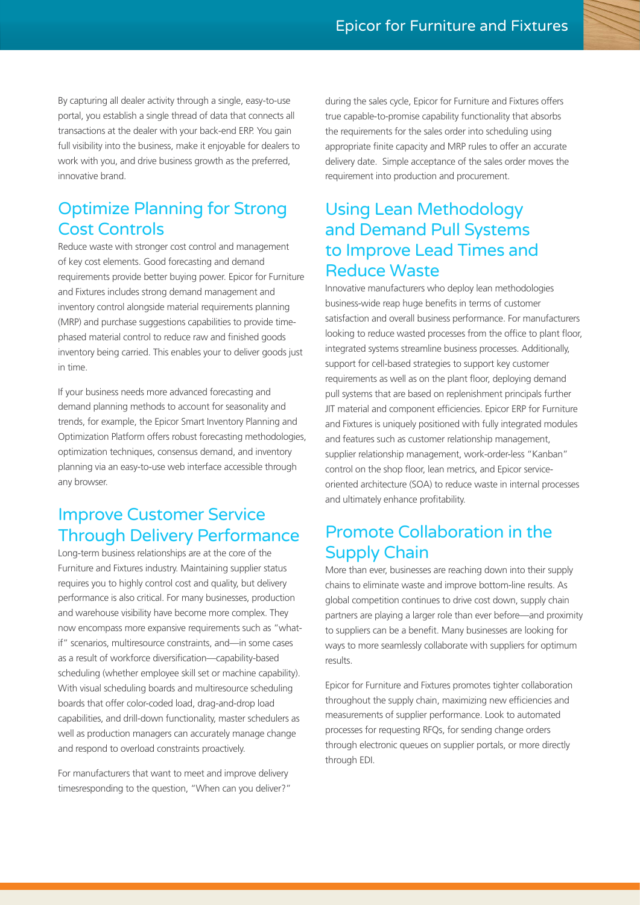By capturing all dealer activity through a single, easy-to-use portal, you establish a single thread of data that connects all transactions at the dealer with your back-end ERP. You gain full visibility into the business, make it enjoyable for dealers to work with you, and drive business growth as the preferred, innovative brand.

## Optimize Planning for Strong Cost Controls

Reduce waste with stronger cost control and management of key cost elements. Good forecasting and demand requirements provide better buying power. Epicor for Furniture and Fixtures includes strong demand management and inventory control alongside material requirements planning (MRP) and purchase suggestions capabilities to provide timephased material control to reduce raw and finished goods inventory being carried. This enables your to deliver goods just in time.

If your business needs more advanced forecasting and demand planning methods to account for seasonality and trends, for example, the Epicor Smart Inventory Planning and Optimization Platform offers robust forecasting methodologies, optimization techniques, consensus demand, and inventory planning via an easy-to-use web interface accessible through any browser.

# Improve Customer Service Through Delivery Performance

Long-term business relationships are at the core of the Furniture and Fixtures industry. Maintaining supplier status requires you to highly control cost and quality, but delivery performance is also critical. For many businesses, production and warehouse visibility have become more complex. They now encompass more expansive requirements such as "whatif" scenarios, multiresource constraints, and—in some cases as a result of workforce diversification—capability-based scheduling (whether employee skill set or machine capability). With visual scheduling boards and multiresource scheduling boards that offer color-coded load, drag-and-drop load capabilities, and drill-down functionality, master schedulers as well as production managers can accurately manage change and respond to overload constraints proactively.

For manufacturers that want to meet and improve delivery timesresponding to the question, "When can you deliver?" during the sales cycle, Epicor for Furniture and Fixtures offers true capable-to-promise capability functionality that absorbs the requirements for the sales order into scheduling using appropriate finite capacity and MRP rules to offer an accurate delivery date. Simple acceptance of the sales order moves the requirement into production and procurement.

# Using Lean Methodology and Demand Pull Systems to Improve Lead Times and Reduce Waste

Innovative manufacturers who deploy lean methodologies business-wide reap huge benefits in terms of customer satisfaction and overall business performance. For manufacturers looking to reduce wasted processes from the office to plant floor, integrated systems streamline business processes. Additionally, support for cell-based strategies to support key customer requirements as well as on the plant floor, deploying demand pull systems that are based on replenishment principals further JIT material and component efficiencies. Epicor ERP for Furniture and Fixtures is uniquely positioned with fully integrated modules and features such as customer relationship management, supplier relationship management, work-order-less "Kanban" control on the shop floor, lean metrics, and Epicor serviceoriented architecture (SOA) to reduce waste in internal processes and ultimately enhance profitability.

# Promote Collaboration in the Supply Chain

More than ever, businesses are reaching down into their supply chains to eliminate waste and improve bottom-line results. As global competition continues to drive cost down, supply chain partners are playing a larger role than ever before—and proximity to suppliers can be a benefit. Many businesses are looking for ways to more seamlessly collaborate with suppliers for optimum results.

Epicor for Furniture and Fixtures promotes tighter collaboration throughout the supply chain, maximizing new efficiencies and measurements of supplier performance. Look to automated processes for requesting RFQs, for sending change orders through electronic queues on supplier portals, or more directly through EDI.